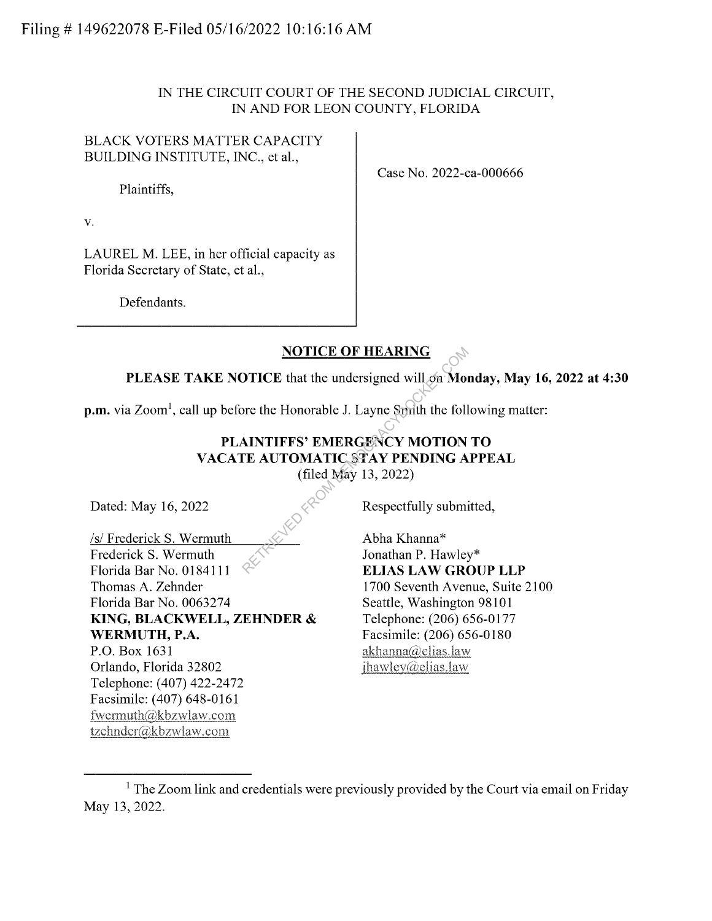### IN THE CIRCUIT COURT OF THE SECOND JUDICIAL CIRCUIT, IN AND FOR LEON COUNTY, FLORIDA

BLACK VOTERS MATTER CAPACITY BUILDING INSTITUTE, INC., et al.,

Plaintiffs,

V.

LAUREL M. LEE, in her official capacity as Florida Secretary of State, et al.,

Defendants.

Case No. 2022-ca-000666

## **NOTICE OF HEARING**

**PLEASE TAKE NOTICE** that the undersigned will on **Monday, May 16, 2022 at 4:30** 

**p.m.** via Zoom<sup>1</sup>, call up before the Honorable J. Layne Smith the following matter:

# **PLAINTIFFS' EMERGENCY MOTION TO VACATE AUTOMATIC STAY PENDING APPEAL**  (filed May 13, 2022) NOTICE OF HEARING<br>
DTICE that the undersigned will give More<br>
the Honorable J. Layne Smith the foll<br>
MINTIFFS' EMERGENCY MOTION<br>
TE AUTOMATIC STAY PENDING A<br>
(filed May 13, 2022)<br>
Respectfully submi<br>
Abha Khanna\*<br>
Jonathan

Dated: May 16, 2022

/s/ Frederick S. Wermuth Frederick S. Wermuth Florida Bar No. 0184111 Thomas A. Zehnder Florida Bar No. 0063274 **KING, BLACKWELL, ZEHNDER** & **WERMUTH, P.A.**  P.O. Box 1631 Orlando, Florida 32802 Telephone: (407) 422-2472 Facsimile: (407) 648-0161 fwennuth(alkbzwlaw.com tzehnder@kbzwlaw.com

Respectfully submitted,

Abha Khanna\* Jonathan P. Hawley\* **ELIAS LAW GROUP LLP**  1700 Seventh Avenue, Suite 2100 Seattle, Washington 98101 Telephone: (206) 656-0177 Facsimile: (206) 656-0180  $akhanna@elias.law$  $ihawlev@elias.law$ 

 $1$  The Zoom link and credentials were previously provided by the Court via email on Friday May 13, 2022.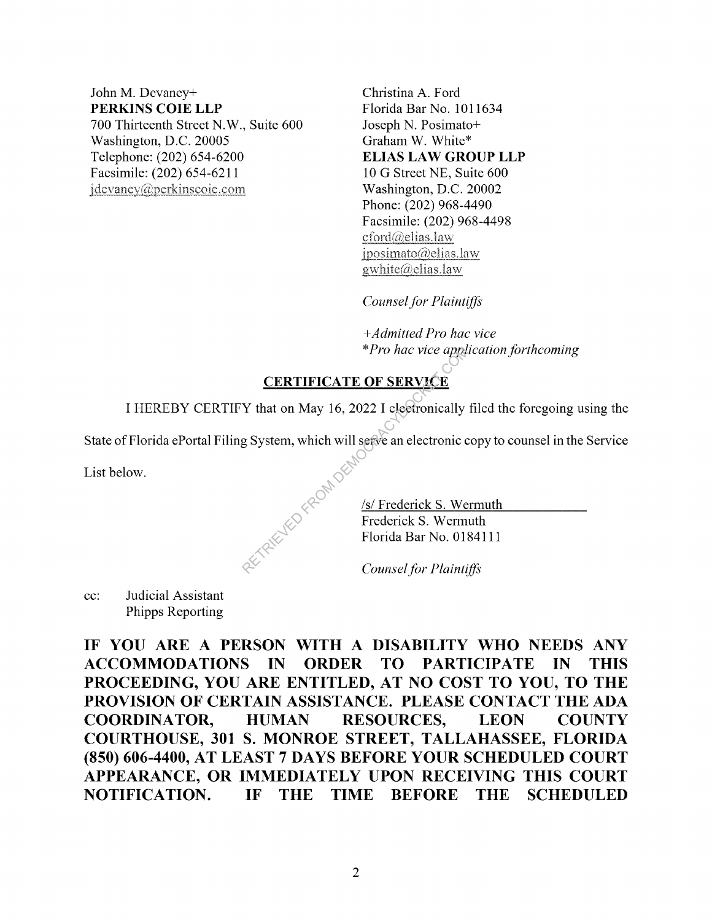#### John M. Devaney+ **PERKINS COIE LLP**  700 Thirteenth Street N.W., Suite 600 Washington, D.C. 20005 Telephone: (202) 654-6200 Facsimile: (202) 654-6211 idevaney@perkinscoie.com

Christina A. Ford Florida Bar No. 1011634 Joseph N. Posimato+ Graham W. White\* **ELIAS LAW GROUP LLP**  10 G Street NE, Suite 600 Washington, D.C. 20002 Phone: (202) 968-4490 Facsimile: (202) 968-4498 cford@elias.law  $iposimato$ ( $Q$ elias.law gwhite@elias.law

*Counsel for Plaintiffs* 

+ *Admitted Pro hac vice*  \* *Pro hac vice application forthcoming* 

## **CERTIFICATE OF SERVICE**

I HEREBY CERTIFY that on May 16, 2022 I electronically filed the foregoing using the

State of Florida ePortal Filing System, which will serve an electronic copy to counsel in the Service

List below.

/s/ Frederick S. Wermuth Frederick S. Wermuth Florida Bar No. 0184111 Pro hac vice applies<br>
Y that on May 16, 2022 I electronically<br>
g System, which will serve an electronic comparison<br>
System, which will serve an electronic comparison<br>
Florida Bar No. 018<br>
Counsel for Plainting

*Counsel for Plaintiffs* 

cc: Judicial Assistant Phipps Reporting

**IF YOU ARE A PERSON WITH A DISABILITY WHO NEEDS ANY ACCOMMODATIONS IN ORDER TO PARTICIPATE IN THIS PROCEEDING, YOU ARE ENTITLED, AT NO COST TO YOU, TO THE PROVISION OF CERTAIN ASSISTANCE. PLEASE CONTACT THE ADA COORDINATOR, HUMAN RESOURCES, LEON COUNTY COURTHOUSE, 301 S. MONROE STREET, TALLAHASSEE, FLORIDA (850) 606-4400, AT LEAST 7 DAYS BEFORE YOUR SCHEDULED COURT APPEARANCE, OR IMMEDIATELY UPON RECEIVING THIS COURT NOTIFICATION. IF THE TIME BEFORE THE SCHEDULED**